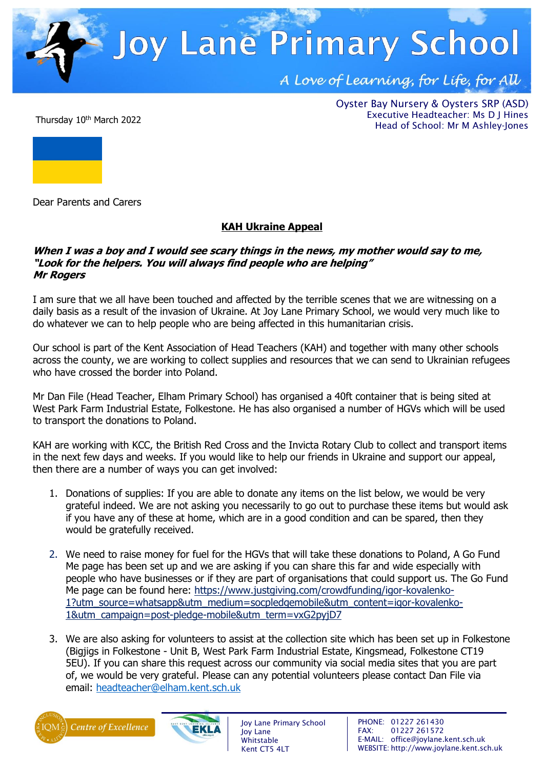

Thursday 10<sup>th</sup> March 2022

Oyster Bay Nursery & Oysters SRP (ASD) Executive Headteacher: Ms D J Hines Head of School: Mr M Ashley-Jones



Dear Parents and Carers

## **KAH Ukraine Appeal**

## **When I was a boy and I would see scary things in the news, my mother would say to me, "Look for the helpers. You will always find people who are helping" Mr Rogers**

I am sure that we all have been touched and affected by the terrible scenes that we are witnessing on a daily basis as a result of the invasion of Ukraine. At Joy Lane Primary School, we would very much like to do whatever we can to help people who are being affected in this humanitarian crisis.

Our school is part of the Kent Association of Head Teachers (KAH) and together with many other schools across the county, we are working to collect supplies and resources that we can send to Ukrainian refugees who have crossed the border into Poland.

Mr Dan File (Head Teacher, Elham Primary School) has organised a 40ft container that is being sited at West Park Farm Industrial Estate, Folkestone. He has also organised a number of HGVs which will be used to transport the donations to Poland.

KAH are working with KCC, the British Red Cross and the Invicta Rotary Club to collect and transport items in the next few days and weeks. If you would like to help our friends in Ukraine and support our appeal, then there are a number of ways you can get involved:

- 1. Donations of supplies: If you are able to donate any items on the list below, we would be very grateful indeed. We are not asking you necessarily to go out to purchase these items but would ask if you have any of these at home, which are in a good condition and can be spared, then they would be gratefully received.
- 2. We need to raise money for fuel for the HGVs that will take these donations to Poland, A Go Fund Me page has been set up and we are asking if you can share this far and wide especially with people who have businesses or if they are part of organisations that could support us. The Go Fund Me page can be found here: [https://www.justgiving.com/crowdfunding/igor-kovalenko-](https://www.justgiving.com/crowdfunding/igor-kovalenko-1?utm_source=whatsapp&utm_medium=socpledgemobile&utm_content=igor-kovalenko-1&utm_campaign=post-pledge-mobile&utm_term=vxG2pyjD7)[1?utm\\_source=whatsapp&utm\\_medium=socpledgemobile&utm\\_content=igor-kovalenko-](https://www.justgiving.com/crowdfunding/igor-kovalenko-1?utm_source=whatsapp&utm_medium=socpledgemobile&utm_content=igor-kovalenko-1&utm_campaign=post-pledge-mobile&utm_term=vxG2pyjD7)[1&utm\\_campaign=post-pledge-mobile&utm\\_term=vxG2pyjD7](https://www.justgiving.com/crowdfunding/igor-kovalenko-1?utm_source=whatsapp&utm_medium=socpledgemobile&utm_content=igor-kovalenko-1&utm_campaign=post-pledge-mobile&utm_term=vxG2pyjD7)
- 3. We are also asking for volunteers to assist at the collection site which has been set up in Folkestone (Bigjigs in Folkestone - Unit B, West Park Farm Industrial Estate, Kingsmead, Folkestone CT19 5EU). If you can share this request across our community via social media sites that you are part of, we would be very grateful. Please can any potential volunteers please contact Dan File via email: [headteacher@elham.kent.sch.uk](mailto:headteacher@elham.kent.sch.uk)